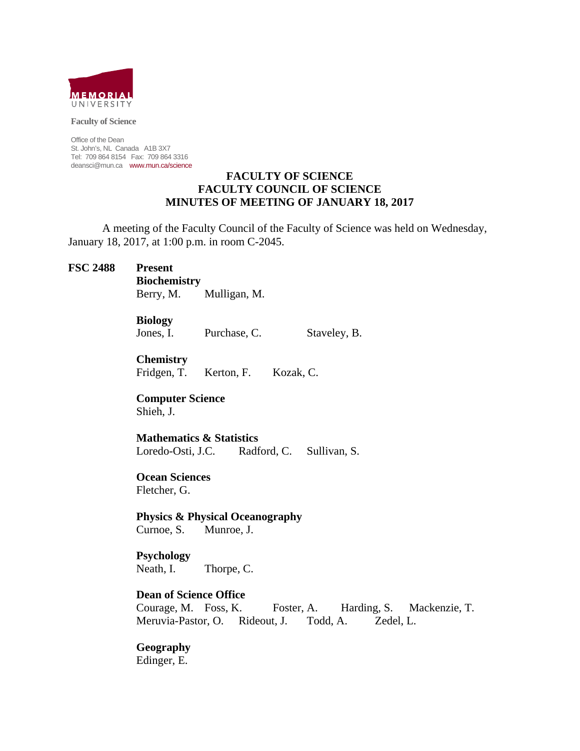

**Faculty of Science** 

Office of the Dean St. John's, NL Canada A1B 3X7 Tel: 709 864 8154 Fax: 709 864 3316 deansci@mun.ca www.mun.ca/science

### **FACULTY OF SCIENCE FACULTY COUNCIL OF SCIENCE MINUTES OF MEETING OF JANUARY 18, 2017**

 A meeting of the Faculty Council of the Faculty of Science was held on Wednesday, January 18, 2017, at 1:00 p.m. in room C-2045.

## **FSC 2488 Present**

 **Biochemistry**

Berry, M. Mulligan, M.

## **Biology**

Jones, I. Purchase, C. Staveley, B.

**Chemistry**

Fridgen, T. Kerton, F. Kozak, C.

 **Computer Science** Shieh, J.

 **Mathematics & Statistics** Loredo-Osti, J.C. Radford, C. Sullivan, S.

 **Ocean Sciences** Fletcher, G.

 **Physics & Physical Oceanography** Curnoe, S. Munroe, J.

 **Psychology** Neath, I. Thorpe, C.

## **Dean of Science Office**

 Courage, M. Foss, K. Foster, A. Harding, S. Mackenzie, T. Meruvia-Pastor, O. Rideout, J. Todd, A. Zedel, L.

 **Geography** Edinger, E.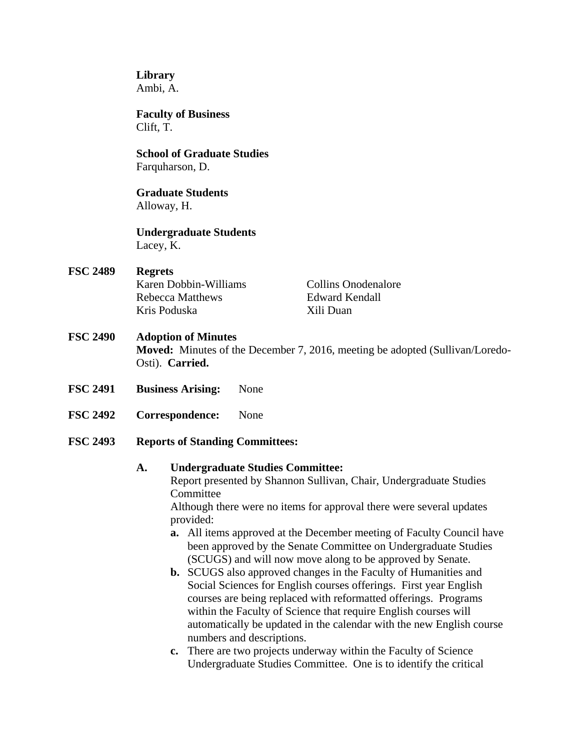**Library** Ambi, A.

 **Faculty of Business** Clift, T.

 **School of Graduate Studies** Farquharson, D.

 **Graduate Students** Alloway, H.

 **Undergraduate Students** Lacey, K.

**FSC 2489 Regrets Karen Dobbin-Williams** Collins Onodenalore Rebecca Matthews Edward Kendall Kris Poduska Xili Duan

# **FSC 2490 Adoption of Minutes**

**Moved:** Minutes of the December 7, 2016, meeting be adopted (Sullivan/Loredo-Osti). **Carried.** 

- **FSC 2491 Business Arising:** None
- **FSC 2492 Correspondence:** None
- **FSC 2493 Reports of Standing Committees:**

## **A. Undergraduate Studies Committee:**

Report presented by Shannon Sullivan, Chair, Undergraduate Studies Committee

Although there were no items for approval there were several updates provided:

- **a.** All items approved at the December meeting of Faculty Council have been approved by the Senate Committee on Undergraduate Studies (SCUGS) and will now move along to be approved by Senate.
- **b.** SCUGS also approved changes in the Faculty of Humanities and Social Sciences for English courses offerings. First year English courses are being replaced with reformatted offerings. Programs within the Faculty of Science that require English courses will automatically be updated in the calendar with the new English course numbers and descriptions.
- **c.** There are two projects underway within the Faculty of Science Undergraduate Studies Committee. One is to identify the critical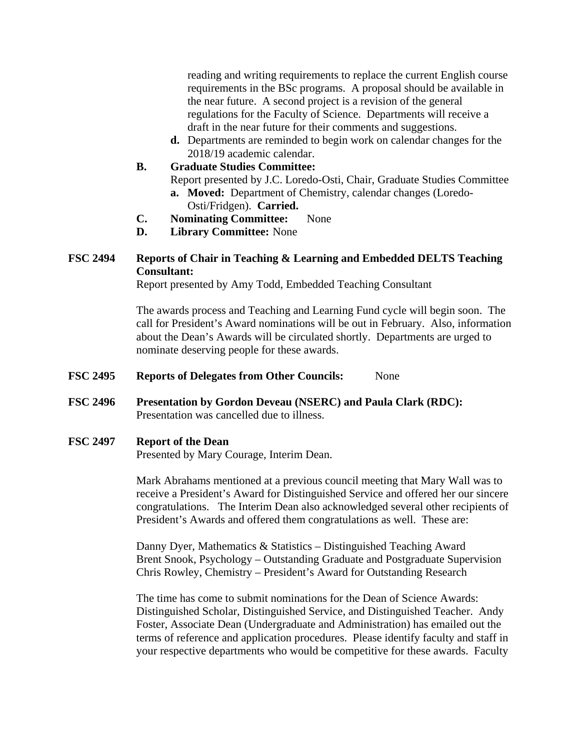reading and writing requirements to replace the current English course requirements in the BSc programs. A proposal should be available in the near future. A second project is a revision of the general regulations for the Faculty of Science. Departments will receive a draft in the near future for their comments and suggestions.

- **d.** Departments are reminded to begin work on calendar changes for the 2018/19 academic calendar.
- **B. Graduate Studies Committee:**

Report presented by J.C. Loredo-Osti, Chair, Graduate Studies Committee **a. Moved:** Department of Chemistry, calendar changes (Loredo-

- Osti/Fridgen). **Carried.**
- **C. Nominating Committee:** None
- **D. Library Committee:** None

# **FSC 2494 Reports of Chair in Teaching & Learning and Embedded DELTS Teaching Consultant:**

Report presented by Amy Todd, Embedded Teaching Consultant

 The awards process and Teaching and Learning Fund cycle will begin soon. The call for President's Award nominations will be out in February. Also, information about the Dean's Awards will be circulated shortly. Departments are urged to nominate deserving people for these awards.

- **FSC 2495 Reports of Delegates from Other Councils:** None
- **FSC 2496 Presentation by Gordon Deveau (NSERC) and Paula Clark (RDC):** Presentation was cancelled due to illness.

#### **FSC 2497 Report of the Dean**

Presented by Mary Courage, Interim Dean.

Mark Abrahams mentioned at a previous council meeting that Mary Wall was to receive a President's Award for Distinguished Service and offered her our sincere congratulations. The Interim Dean also acknowledged several other recipients of President's Awards and offered them congratulations as well. These are:

Danny Dyer, Mathematics & Statistics – Distinguished Teaching Award Brent Snook, Psychology – Outstanding Graduate and Postgraduate Supervision Chris Rowley, Chemistry – President's Award for Outstanding Research

The time has come to submit nominations for the Dean of Science Awards: Distinguished Scholar, Distinguished Service, and Distinguished Teacher. Andy Foster, Associate Dean (Undergraduate and Administration) has emailed out the terms of reference and application procedures. Please identify faculty and staff in your respective departments who would be competitive for these awards. Faculty